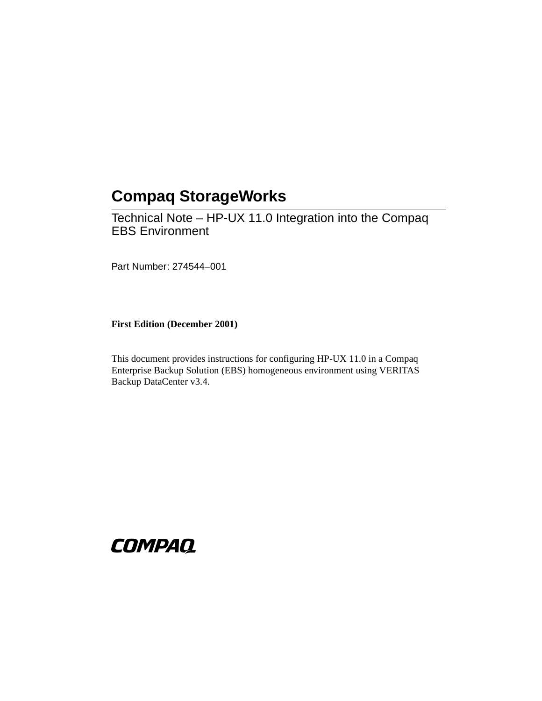# **Compaq StorageWorks**

<span id="page-0-0"></span>Technical Note – HP-UX 11.0 Integration into the Compaq EBS Environment

<span id="page-0-1"></span>Part Number: 274544–001

<span id="page-0-2"></span>**First Edition (December 2001)**

This document provides instructions for configuring HP-UX 11.0 in a Compaq Enterprise Backup Solution (EBS) homogeneous environment using VERITAS Backup DataCenter v3.4.

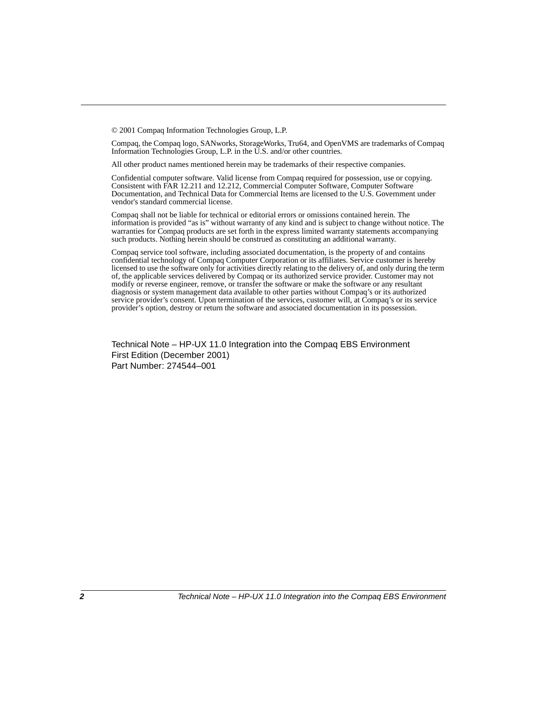© 2001 Compaq Information Technologies Group, L.P.

Compaq, the Compaq logo, SANworks, StorageWorks, Tru64, and OpenVMS are trademarks of Compaq Information Technologies Group, L.P. in the U.S. and/or other countries.

All other product names mentioned herein may be trademarks of their respective companies.

Confidential computer software. Valid license from Compaq required for possession, use or copying. Consistent with FAR 12.211 and 12.212, Commercial Computer Software, Computer Software Documentation, and Technical Data for Commercial Items are licensed to the U.S. Government under vendor's standard commercial license.

Compaq shall not be liable for technical or editorial errors or omissions contained herein. The information is provided "as is" without warranty of any kind and is subject to change without notice. The warranties for Compaq products are set forth in the express limited warranty statements accompanying such products. Nothing herein should be construed as constituting an additional warranty.

Compaq service tool software, including associated documentation, is the property of and contains confidential technology of Compaq Computer Corporation or its affiliates. Service customer is hereby licensed to use the software only for activities directly relating to the delivery of, and only during the term of, the applicable services delivered by Compaq or its authorized service provider. Customer may not modify or reverse engineer, remove, or transfer the software or make the software or any resultant diagnosis or system management data available to other parties without Compaq's or its authorized service provider's consent. Upon termination of the services, customer will, at Compaq's or its service provider's option, destroy or return the software and associated documentation in its possession.

[Technical Note – HP-UX 11.0 Integration into the Compaq EBS Environment](#page-0-0) [First Edition \(December 2001\)](#page-0-2) [Part Number: 274544–001](#page-0-1)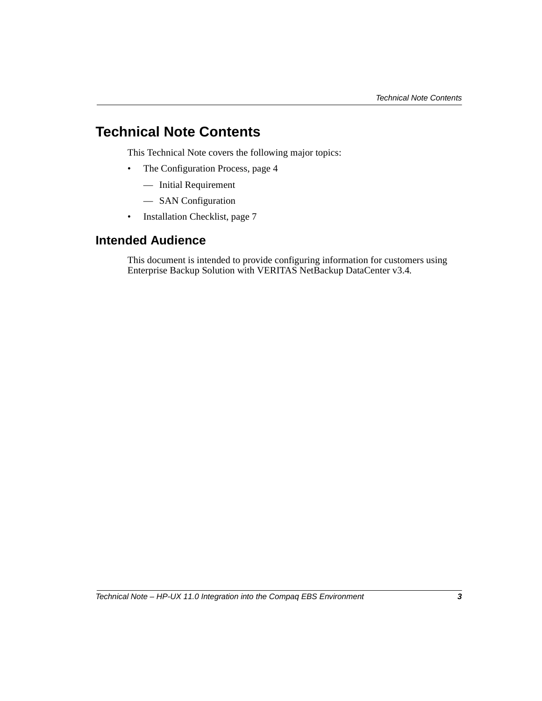## **Technical Note Contents**

This Technical Note covers the following major topics:

- The Configuration Process, [page 4](#page-3-0)
	- Initial Requirement
	- SAN Configuration
- Installation Checklist, [page 7](#page-6-0)

### **Intended Audience**

This document is intended to provide configuring information for customers using Enterprise Backup Solution with VERITAS NetBackup DataCenter v3.4*.*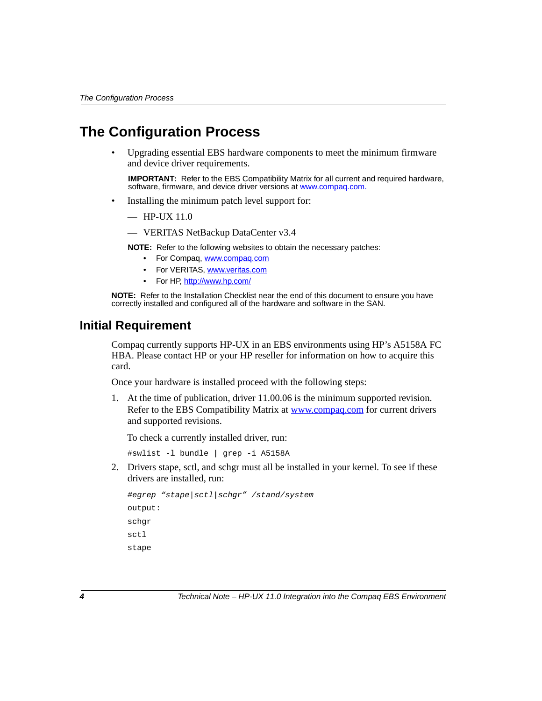### <span id="page-3-0"></span>**The Configuration Process**

• Upgrading essential EBS hardware components to meet the minimum firmware and device driver requirements.

**IMPORTANT:** Refer to the EBS Compatibility Matrix for all current and required hardware. software, firmware, and device driver versions at www.compaq.com.

- Installing the minimum patch level support for:
	- $-$  HP-UX 11.0
	- VERITAS NetBackup DataCenter v3.4

**NOTE:** Refer to the following websites to obtain the necessary patches:

- For Compaq, www.compaq.com
- For VERITAS, www.veritas.com
- For HP, http://www.hp.com/

**NOTE:** Refer to the Installation Checklist near the end of this document to ensure you have correctly installed and configured all of the hardware and software in the SAN.

#### **Initial Requirement**

Compaq currently supports HP-UX in an EBS environments using HP's A5158A FC HBA. Please contact HP or your HP reseller for information on how to acquire this card.

Once your hardware is installed proceed with the following steps:

1. At the time of publication, driver 11.00.06 is the minimum supported revision. Refer to the EBS Compatibility Matrix at www.compaq.com for current drivers and supported revisions.

To check a currently installed driver, run:

#swlist -l bundle | grep -i A5158A

2. Drivers stape, sctl, and schgr must all be installed in your kernel. To see if these drivers are installed, run:

```
#egrep "stape|sctl|schgr" /stand/system
output:
schgr
sctl
stape
```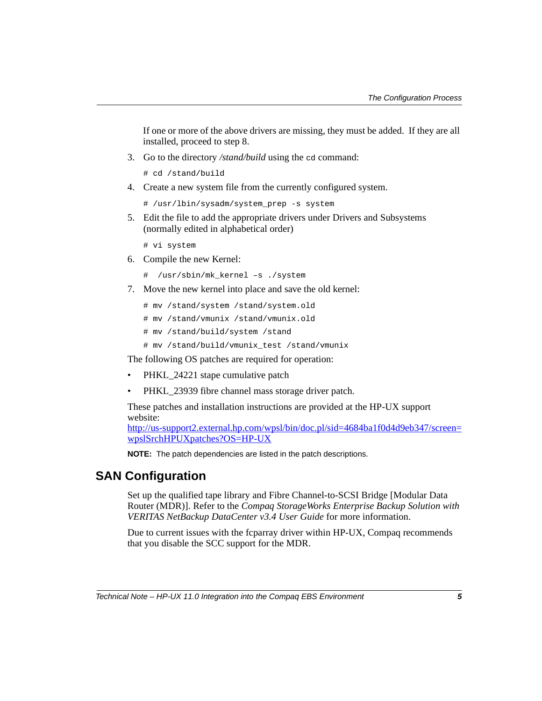If one or more of the above drivers are missing, they must be added. If they are all installed, proceed to step 8.

3. Go to the directory */stand/build* using the cd command:

# cd /stand/build

4. Create a new system file from the currently configured system.

```
# /usr/lbin/sysadm/system_prep -s system
```
5. Edit the file to add the appropriate drivers under Drivers and Subsystems (normally edited in alphabetical order)

# vi system

- 6. Compile the new Kernel:
	- # /usr/sbin/mk\_kernel –s ./system
- 7. Move the new kernel into place and save the old kernel:
	- # mv /stand/system /stand/system.old
	- # mv /stand/vmunix /stand/vmunix.old
	- # mv /stand/build/system /stand
	- # mv /stand/build/vmunix\_test /stand/vmunix

The following OS patches are required for operation:

- PHKL 24221 stape cumulative patch
- PHKL 23939 fibre channel mass storage driver patch.

These patches and installation instructions are provided at the HP-UX support website:

http://us-support2.external.hp.com/wpsl/bin/doc.pl/sid=4684ba1f0d4d9eb347/screen= wpslSrchHPUXpatches?OS=HP-UX

**NOTE:** The patch dependencies are listed in the patch descriptions.

#### **SAN Configuration**

Set up the qualified tape library and Fibre Channel-to-SCSI Bridge [Modular Data Router (MDR)]. Refer to the *Compaq StorageWorks Enterprise Backup Solution with VERITAS NetBackup DataCenter v3.4 User Guide* for more information.

Due to current issues with the fcparray driver within HP-UX, Compaq recommends that you disable the SCC support for the MDR.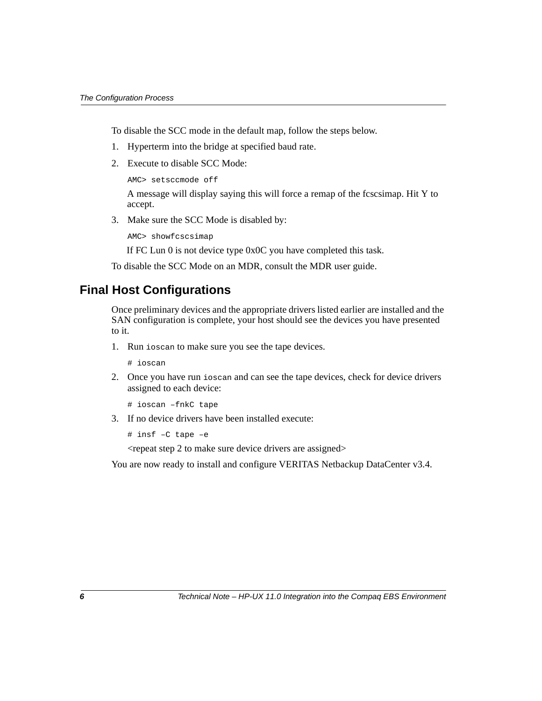To disable the SCC mode in the default map, follow the steps below.

- 1. Hyperterm into the bridge at specified baud rate.
- 2. Execute to disable SCC Mode:

AMC> setsccmode off

A message will display saying this will force a remap of the fcscsimap. Hit Y to accept.

3. Make sure the SCC Mode is disabled by:

AMC> showfcscsimap

If FC Lun 0 is not device type 0x0C you have completed this task.

To disable the SCC Mode on an MDR, consult the MDR user guide.

#### **Final Host Configurations**

Once preliminary devices and the appropriate drivers listed earlier are installed and the SAN configuration is complete, your host should see the devices you have presented to it.

1. Run ioscan to make sure you see the tape devices.

# ioscan

2. Once you have run ioscan and can see the tape devices, check for device drivers assigned to each device:

```
# ioscan –fnkC tape
```
3. If no device drivers have been installed execute:

```
# insf –C tape –e
```
<repeat step 2 to make sure device drivers are assigned>

You are now ready to install and configure VERITAS Netbackup DataCenter v3.4.